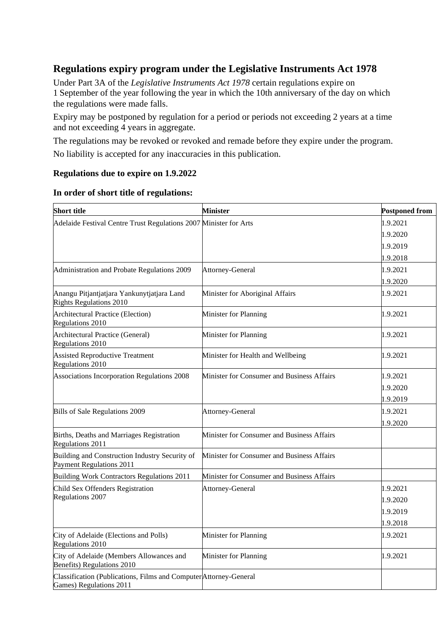## **Regulations expiry program under the Legislative Instruments Act 1978**

Under Part 3A of the *Legislative Instruments Act 1978* certain regulations expire on 1 September of the year following the year in which the 10th anniversary of the day on which the regulations were made falls.

Expiry may be postponed by regulation for a period or periods not exceeding 2 years at a time and not exceeding 4 years in aggregate.

The regulations may be revoked or revoked and remade before they expire under the program. No liability is accepted for any inaccuracies in this publication.

### **Regulations due to expire on 1.9.2022**

| <b>Short title</b>                                                                           | <b>Minister</b>                            | <b>Postponed from</b> |
|----------------------------------------------------------------------------------------------|--------------------------------------------|-----------------------|
| Adelaide Festival Centre Trust Regulations 2007 Minister for Arts                            |                                            | 1.9.2021              |
|                                                                                              |                                            | 1.9.2020              |
|                                                                                              |                                            | 1.9.2019              |
|                                                                                              |                                            | 1.9.2018              |
| Administration and Probate Regulations 2009                                                  | Attorney-General                           | 1.9.2021              |
|                                                                                              |                                            | 1.9.2020              |
| Anangu Pitjantjatjara Yankunytjatjara Land<br><b>Rights Regulations 2010</b>                 | Minister for Aboriginal Affairs            | 1.9.2021              |
| Architectural Practice (Election)<br>Regulations 2010                                        | Minister for Planning                      | 1.9.2021              |
| Architectural Practice (General)<br>Regulations 2010                                         | Minister for Planning                      | 1.9.2021              |
| <b>Assisted Reproductive Treatment</b><br>Regulations 2010                                   | Minister for Health and Wellbeing          | 1.9.2021              |
| Associations Incorporation Regulations 2008                                                  | Minister for Consumer and Business Affairs | 1.9.2021              |
|                                                                                              |                                            | 1.9.2020              |
|                                                                                              |                                            | 1.9.2019              |
| Bills of Sale Regulations 2009                                                               | Attorney-General                           | 1.9.2021              |
|                                                                                              |                                            | 1.9.2020              |
| Births, Deaths and Marriages Registration<br>Regulations 2011                                | Minister for Consumer and Business Affairs |                       |
| Building and Construction Industry Security of<br>Payment Regulations 2011                   | Minister for Consumer and Business Affairs |                       |
| Building Work Contractors Regulations 2011                                                   | Minister for Consumer and Business Affairs |                       |
| Child Sex Offenders Registration                                                             | Attorney-General                           | 1.9.2021              |
| Regulations 2007                                                                             |                                            | 1.9.2020              |
|                                                                                              |                                            | 1.9.2019              |
|                                                                                              |                                            | 1.9.2018              |
| City of Adelaide (Elections and Polls)<br>Regulations 2010                                   | Minister for Planning                      | 1.9.2021              |
| City of Adelaide (Members Allowances and<br>Benefits) Regulations 2010                       | Minister for Planning                      | 1.9.2021              |
| Classification (Publications, Films and Computer Attorney-General<br>Games) Regulations 2011 |                                            |                       |

### **In order of short title of regulations:**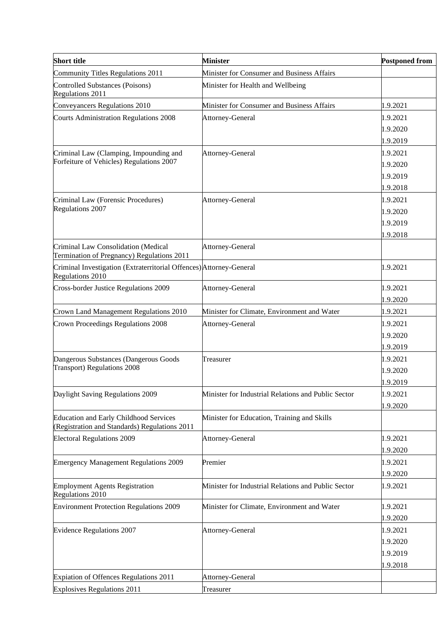| <b>Short title</b>                                                                             | <b>Minister</b>                                     | <b>Postponed from</b> |
|------------------------------------------------------------------------------------------------|-----------------------------------------------------|-----------------------|
| <b>Community Titles Regulations 2011</b>                                                       | Minister for Consumer and Business Affairs          |                       |
| <b>Controlled Substances (Poisons)</b><br>Regulations 2011                                     | Minister for Health and Wellbeing                   |                       |
| Conveyancers Regulations 2010                                                                  | Minister for Consumer and Business Affairs          | 1.9.2021              |
| <b>Courts Administration Regulations 2008</b>                                                  | Attorney-General                                    | 1.9.2021              |
|                                                                                                |                                                     | 1.9.2020              |
|                                                                                                |                                                     | 1.9.2019              |
| Criminal Law (Clamping, Impounding and                                                         | Attorney-General                                    | 1.9.2021              |
| Forfeiture of Vehicles) Regulations 2007                                                       |                                                     | 1.9.2020              |
|                                                                                                |                                                     | 1.9.2019              |
|                                                                                                |                                                     | 1.9.2018              |
| Criminal Law (Forensic Procedures)                                                             | Attorney-General                                    | 1.9.2021              |
| Regulations 2007                                                                               |                                                     | 1.9.2020              |
|                                                                                                |                                                     | 1.9.2019              |
|                                                                                                |                                                     | 1.9.2018              |
| Criminal Law Consolidation (Medical<br>Termination of Pregnancy) Regulations 2011              | Attorney-General                                    |                       |
| Criminal Investigation (Extraterritorial Offences) Attorney-General<br>Regulations 2010        |                                                     | 1.9.2021              |
| <b>Cross-border Justice Regulations 2009</b>                                                   | Attorney-General                                    | 1.9.2021              |
|                                                                                                |                                                     | 1.9.2020              |
| Crown Land Management Regulations 2010                                                         | Minister for Climate, Environment and Water         | 1.9.2021              |
| Crown Proceedings Regulations 2008                                                             | Attorney-General                                    | 1.9.2021              |
|                                                                                                |                                                     | 1.9.2020              |
|                                                                                                |                                                     | 1.9.2019              |
| Dangerous Substances (Dangerous Goods                                                          | Treasurer                                           | 1.9.2021              |
| <b>Transport) Regulations 2008</b>                                                             |                                                     | 1.9.2020              |
|                                                                                                |                                                     | 1.9.2019              |
| Daylight Saving Regulations 2009                                                               | Minister for Industrial Relations and Public Sector | 1.9.2021              |
|                                                                                                |                                                     | 1.9.2020              |
| <b>Education and Early Childhood Services</b><br>(Registration and Standards) Regulations 2011 | Minister for Education, Training and Skills         |                       |
| <b>Electoral Regulations 2009</b>                                                              | Attorney-General                                    | 1.9.2021              |
|                                                                                                |                                                     | 1.9.2020              |
| <b>Emergency Management Regulations 2009</b>                                                   | Premier                                             | 1.9.2021              |
|                                                                                                |                                                     | 1.9.2020              |
| <b>Employment Agents Registration</b><br>Regulations 2010                                      | Minister for Industrial Relations and Public Sector | 1.9.2021              |
| <b>Environment Protection Regulations 2009</b>                                                 | Minister for Climate, Environment and Water         | 1.9.2021              |
|                                                                                                |                                                     | 1.9.2020              |
| <b>Evidence Regulations 2007</b>                                                               | Attorney-General                                    | 1.9.2021              |
|                                                                                                |                                                     | 1.9.2020              |
|                                                                                                |                                                     | 1.9.2019              |
|                                                                                                |                                                     | 1.9.2018              |
| Expiation of Offences Regulations 2011                                                         | Attorney-General                                    |                       |
| <b>Explosives Regulations 2011</b>                                                             | Treasurer                                           |                       |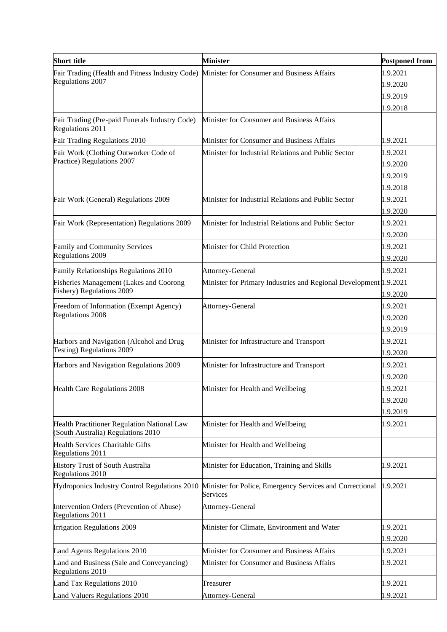| <b>Short title</b>                                                                         | <b>Minister</b>                                                      | <b>Postponed from</b> |
|--------------------------------------------------------------------------------------------|----------------------------------------------------------------------|-----------------------|
| Fair Trading (Health and Fitness Industry Code) Minister for Consumer and Business Affairs |                                                                      | 1.9.2021              |
| Regulations 2007                                                                           |                                                                      | 1.9.2020              |
|                                                                                            |                                                                      | 1.9.2019              |
|                                                                                            |                                                                      | 1.9.2018              |
| Fair Trading (Pre-paid Funerals Industry Code)<br>Regulations 2011                         | Minister for Consumer and Business Affairs                           |                       |
| Fair Trading Regulations 2010                                                              | Minister for Consumer and Business Affairs                           | 1.9.2021              |
| Fair Work (Clothing Outworker Code of                                                      | Minister for Industrial Relations and Public Sector                  | 1.9.2021              |
| Practice) Regulations 2007                                                                 |                                                                      | 1.9.2020              |
|                                                                                            |                                                                      | 1.9.2019              |
|                                                                                            |                                                                      | 1.9.2018              |
| Fair Work (General) Regulations 2009                                                       | Minister for Industrial Relations and Public Sector                  | 1.9.2021              |
|                                                                                            |                                                                      | 1.9.2020              |
| Fair Work (Representation) Regulations 2009                                                | Minister for Industrial Relations and Public Sector                  | 1.9.2021              |
|                                                                                            |                                                                      | 1.9.2020              |
| Family and Community Services                                                              | Minister for Child Protection                                        | 1.9.2021              |
| Regulations 2009                                                                           |                                                                      | 1.9.2020              |
| <b>Family Relationships Regulations 2010</b>                                               | Attorney-General                                                     | 1.9.2021              |
| <b>Fisheries Management (Lakes and Coorong</b>                                             | Minister for Primary Industries and Regional Development 1.9.2021    |                       |
| Fishery) Regulations 2009                                                                  |                                                                      | 1.9.2020              |
| Freedom of Information (Exempt Agency)                                                     | Attorney-General                                                     | 1.9.2021              |
| <b>Regulations 2008</b>                                                                    |                                                                      | 1.9.2020              |
|                                                                                            |                                                                      | 1.9.2019              |
| Harbors and Navigation (Alcohol and Drug                                                   | Minister for Infrastructure and Transport                            | 1.9.2021              |
| Testing) Regulations 2009                                                                  |                                                                      | 1.9.2020              |
| Harbors and Navigation Regulations 2009                                                    | Minister for Infrastructure and Transport                            | 1.9.2021              |
|                                                                                            |                                                                      | 1.9.2020              |
| <b>Health Care Regulations 2008</b>                                                        | Minister for Health and Wellbeing                                    | 1.9.2021              |
|                                                                                            |                                                                      | 1.9.2020              |
|                                                                                            |                                                                      | 1.9.2019              |
| Health Practitioner Regulation National Law<br>(South Australia) Regulations 2010          | Minister for Health and Wellbeing                                    | 1.9.2021              |
| <b>Health Services Charitable Gifts</b><br><b>Regulations 2011</b>                         | Minister for Health and Wellbeing                                    |                       |
| History Trust of South Australia<br>Regulations 2010                                       | Minister for Education, Training and Skills                          | 1.9.2021              |
| Hydroponics Industry Control Regulations 2010                                              | Minister for Police, Emergency Services and Correctional<br>Services | 1.9.2021              |
| Intervention Orders (Prevention of Abuse)<br>Regulations 2011                              | Attorney-General                                                     |                       |
| Irrigation Regulations 2009                                                                | Minister for Climate, Environment and Water                          | 1.9.2021              |
|                                                                                            |                                                                      | 1.9.2020              |
| Land Agents Regulations 2010                                                               | Minister for Consumer and Business Affairs                           | 1.9.2021              |
| Land and Business (Sale and Conveyancing)                                                  | Minister for Consumer and Business Affairs                           | 1.9.2021              |
| Regulations 2010                                                                           |                                                                      |                       |
| Land Tax Regulations 2010                                                                  | Treasurer                                                            | 1.9.2021              |
| Land Valuers Regulations 2010                                                              | Attorney-General                                                     | 1.9.2021              |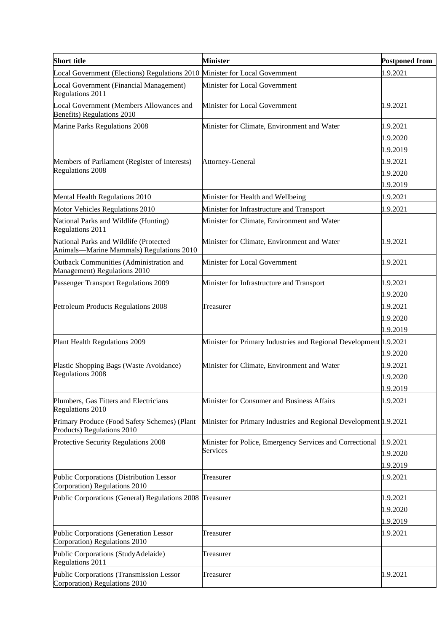| <b>Short title</b>                                                                 | <b>Minister</b>                                                   | <b>Postponed from</b> |
|------------------------------------------------------------------------------------|-------------------------------------------------------------------|-----------------------|
| Local Government (Elections) Regulations 2010 Minister for Local Government        |                                                                   | 1.9.2021              |
| Local Government (Financial Management)<br>Regulations 2011                        | Minister for Local Government                                     |                       |
| Local Government (Members Allowances and<br>Benefits) Regulations 2010             | Minister for Local Government                                     | 1.9.2021              |
| Marine Parks Regulations 2008                                                      | Minister for Climate, Environment and Water                       | 1.9.2021              |
|                                                                                    |                                                                   | 1.9.2020              |
|                                                                                    |                                                                   | 1.9.2019              |
| Members of Parliament (Register of Interests)                                      | Attorney-General                                                  | 1.9.2021              |
| <b>Regulations 2008</b>                                                            |                                                                   | 1.9.2020              |
|                                                                                    |                                                                   | 1.9.2019              |
| Mental Health Regulations 2010                                                     | Minister for Health and Wellbeing                                 | 1.9.2021              |
| Motor Vehicles Regulations 2010                                                    | Minister for Infrastructure and Transport                         | 1.9.2021              |
| National Parks and Wildlife (Hunting)<br>Regulations 2011                          | Minister for Climate, Environment and Water                       |                       |
| National Parks and Wildlife (Protected<br>Animals-Marine Mammals) Regulations 2010 | Minister for Climate, Environment and Water                       | 1.9.2021              |
| Outback Communities (Administration and<br>Management) Regulations 2010            | Minister for Local Government                                     | 1.9.2021              |
| Passenger Transport Regulations 2009                                               | Minister for Infrastructure and Transport                         | 1.9.2021              |
|                                                                                    |                                                                   | 1.9.2020              |
| Petroleum Products Regulations 2008                                                | Treasurer                                                         | 1.9.2021              |
|                                                                                    |                                                                   | 1.9.2020              |
|                                                                                    |                                                                   | 1.9.2019              |
| Plant Health Regulations 2009                                                      | Minister for Primary Industries and Regional Development 1.9.2021 |                       |
|                                                                                    |                                                                   | 1.9.2020              |
| Plastic Shopping Bags (Waste Avoidance)                                            | Minister for Climate, Environment and Water                       | 1.9.2021              |
| <b>Regulations 2008</b>                                                            |                                                                   | 1.9.2020              |
|                                                                                    |                                                                   | 1.9.2019              |
| Plumbers, Gas Fitters and Electricians<br>Regulations 2010                         | Minister for Consumer and Business Affairs                        | 1.9.2021              |
| Primary Produce (Food Safety Schemes) (Plant<br>Products) Regulations 2010         | Minister for Primary Industries and Regional Development 1.9.2021 |                       |
| Protective Security Regulations 2008                                               | Minister for Police, Emergency Services and Correctional          | 1.9.2021              |
|                                                                                    | Services                                                          | 1.9.2020              |
|                                                                                    |                                                                   | 1.9.2019              |
| Public Corporations (Distribution Lessor<br>Corporation) Regulations 2010          | Treasurer                                                         | 1.9.2021              |
| Public Corporations (General) Regulations 2008 Treasurer                           |                                                                   | 1.9.2021              |
|                                                                                    |                                                                   | 1.9.2020              |
|                                                                                    |                                                                   | 1.9.2019              |
| Public Corporations (Generation Lessor<br>Corporation) Regulations 2010            | Treasurer                                                         | 1.9.2021              |
| Public Corporations (StudyAdelaide)<br>Regulations 2011                            | Treasurer                                                         |                       |
| Public Corporations (Transmission Lessor<br>Corporation) Regulations 2010          | Treasurer                                                         | 1.9.2021              |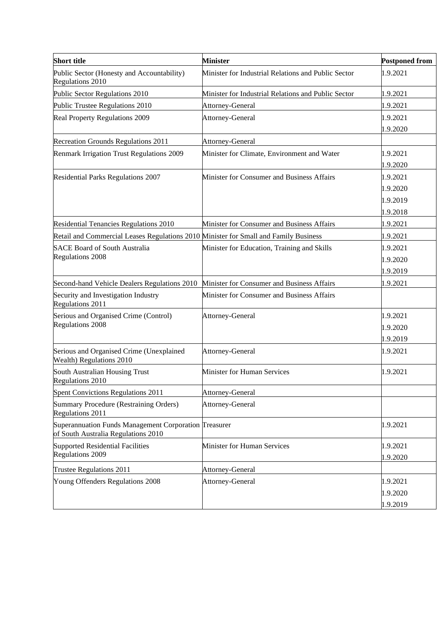| <b>Short title</b>                                                                           | <b>Minister</b>                                     | <b>Postponed from</b> |
|----------------------------------------------------------------------------------------------|-----------------------------------------------------|-----------------------|
| Public Sector (Honesty and Accountability)<br>Regulations 2010                               | Minister for Industrial Relations and Public Sector | 1.9.2021              |
| Public Sector Regulations 2010                                                               | Minister for Industrial Relations and Public Sector | 1.9.2021              |
| Public Trustee Regulations 2010                                                              | Attorney-General                                    | 1.9.2021              |
| Real Property Regulations 2009                                                               | Attorney-General                                    | 1.9.2021              |
|                                                                                              |                                                     | 1.9.2020              |
| Recreation Grounds Regulations 2011                                                          | Attorney-General                                    |                       |
| Renmark Irrigation Trust Regulations 2009                                                    | Minister for Climate, Environment and Water         | 1.9.2021              |
|                                                                                              |                                                     | 1.9.2020              |
| Residential Parks Regulations 2007                                                           | Minister for Consumer and Business Affairs          | 1.9.2021              |
|                                                                                              |                                                     | 1.9.2020              |
|                                                                                              |                                                     | 1.9.2019              |
|                                                                                              |                                                     | 1.9.2018              |
| Residential Tenancies Regulations 2010                                                       | Minister for Consumer and Business Affairs          | 1.9.2021              |
| Retail and Commercial Leases Regulations 2010 Minister for Small and Family Business         |                                                     | 1.9.2021              |
| <b>SACE Board of South Australia</b>                                                         | Minister for Education, Training and Skills         | 1.9.2021              |
| <b>Regulations 2008</b>                                                                      |                                                     | 1.9.2020              |
|                                                                                              |                                                     | 1.9.2019              |
| Second-hand Vehicle Dealers Regulations 2010                                                 | Minister for Consumer and Business Affairs          | 1.9.2021              |
| Security and Investigation Industry<br>Regulations 2011                                      | Minister for Consumer and Business Affairs          |                       |
| Serious and Organised Crime (Control)                                                        | Attorney-General                                    | 1.9.2021              |
| <b>Regulations 2008</b>                                                                      |                                                     | 1.9.2020              |
|                                                                                              |                                                     | 1.9.2019              |
| Serious and Organised Crime (Unexplained<br>Wealth) Regulations 2010                         | Attorney-General                                    | 1.9.2021              |
| South Australian Housing Trust<br>Regulations 2010                                           | Minister for Human Services                         | 1.9.2021              |
| Spent Convictions Regulations 2011                                                           | Attorney-General                                    |                       |
| Summary Procedure (Restraining Orders)<br>Regulations 2011                                   | Attorney-General                                    |                       |
| Superannuation Funds Management Corporation Treasurer<br>of South Australia Regulations 2010 |                                                     | 1.9.2021              |
| <b>Supported Residential Facilities</b>                                                      | Minister for Human Services                         | 1.9.2021              |
| <b>Regulations 2009</b>                                                                      |                                                     | 1.9.2020              |
| Trustee Regulations 2011                                                                     | Attorney-General                                    |                       |
| Young Offenders Regulations 2008                                                             | Attorney-General                                    | 1.9.2021              |
|                                                                                              |                                                     | 1.9.2020              |
|                                                                                              |                                                     | 1.9.2019              |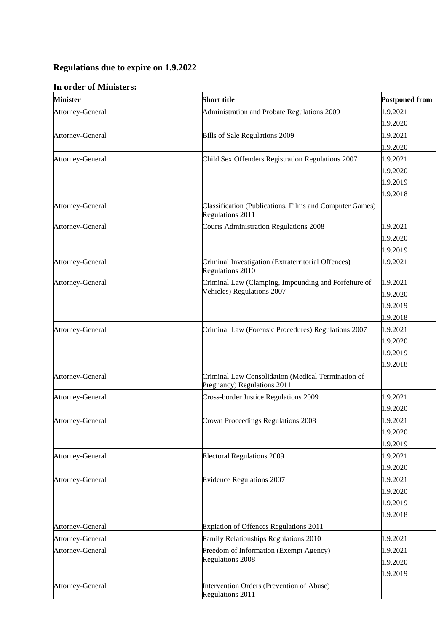# **Regulations due to expire on 1.9.2022**

## **In order of Ministers:**

| <b>Minister</b>  | <b>Short title</b>                                                                | <b>Postponed from</b> |
|------------------|-----------------------------------------------------------------------------------|-----------------------|
| Attorney-General | Administration and Probate Regulations 2009                                       | 1.9.2021              |
|                  |                                                                                   | 1.9.2020              |
| Attorney-General | Bills of Sale Regulations 2009                                                    | 1.9.2021              |
|                  |                                                                                   | 1.9.2020              |
| Attorney-General | Child Sex Offenders Registration Regulations 2007                                 | 1.9.2021              |
|                  |                                                                                   | 1.9.2020              |
|                  |                                                                                   | 1.9.2019              |
|                  |                                                                                   | 1.9.2018              |
| Attorney-General | Classification (Publications, Films and Computer Games)<br>Regulations 2011       |                       |
| Attorney-General | <b>Courts Administration Regulations 2008</b>                                     | 1.9.2021              |
|                  |                                                                                   | 1.9.2020              |
|                  |                                                                                   | 1.9.2019              |
| Attorney-General | Criminal Investigation (Extraterritorial Offences)<br>Regulations 2010            | 1.9.2021              |
| Attorney-General | Criminal Law (Clamping, Impounding and Forfeiture of                              | 1.9.2021              |
|                  | Vehicles) Regulations 2007                                                        | 1.9.2020              |
|                  |                                                                                   | 1.9.2019              |
|                  |                                                                                   | 1.9.2018              |
| Attorney-General | Criminal Law (Forensic Procedures) Regulations 2007                               | 1.9.2021              |
|                  |                                                                                   | 1.9.2020              |
|                  |                                                                                   | 1.9.2019              |
|                  |                                                                                   | 1.9.2018              |
| Attorney-General | Criminal Law Consolidation (Medical Termination of<br>Pregnancy) Regulations 2011 |                       |
| Attorney-General | Cross-border Justice Regulations 2009                                             | 1.9.2021              |
|                  |                                                                                   | 1.9.2020              |
| Attorney-General | Crown Proceedings Regulations 2008                                                | 1.9.2021              |
|                  |                                                                                   | 1.9.2020              |
|                  |                                                                                   | 1.9.2019              |
| Attorney-General | <b>Electoral Regulations 2009</b>                                                 | 1.9.2021              |
|                  |                                                                                   | 1.9.2020              |
| Attorney-General | <b>Evidence Regulations 2007</b>                                                  | 1.9.2021              |
|                  |                                                                                   | 1.9.2020              |
|                  |                                                                                   | 1.9.2019              |
|                  |                                                                                   | 1.9.2018              |
| Attorney-General | Expiation of Offences Regulations 2011                                            |                       |
| Attorney-General | Family Relationships Regulations 2010                                             | 1.9.2021              |
| Attorney-General | Freedom of Information (Exempt Agency)                                            | 1.9.2021              |
|                  | <b>Regulations 2008</b>                                                           | 1.9.2020              |
|                  |                                                                                   | 1.9.2019              |
| Attorney-General | Intervention Orders (Prevention of Abuse)<br>Regulations 2011                     |                       |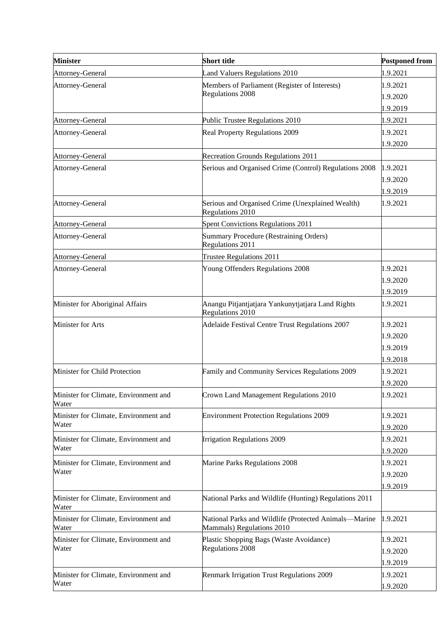| <b>Minister</b>                                | <b>Short title</b>                                                                 | <b>Postponed from</b> |
|------------------------------------------------|------------------------------------------------------------------------------------|-----------------------|
| Attorney-General                               | <b>Land Valuers Regulations 2010</b>                                               | 1.9.2021              |
| Attorney-General                               | Members of Parliament (Register of Interests)                                      | 1.9.2021              |
|                                                | Regulations 2008                                                                   | 1.9.2020              |
|                                                |                                                                                    | 1.9.2019              |
| Attorney-General                               | Public Trustee Regulations 2010                                                    | 1.9.2021              |
| Attorney-General                               | Real Property Regulations 2009                                                     | 1.9.2021              |
|                                                |                                                                                    | 1.9.2020              |
| Attorney-General                               | <b>Recreation Grounds Regulations 2011</b>                                         |                       |
| Attorney-General                               | Serious and Organised Crime (Control) Regulations 2008                             | 1.9.2021              |
|                                                |                                                                                    | 1.9.2020              |
|                                                |                                                                                    | 1.9.2019              |
| Attorney-General                               | Serious and Organised Crime (Unexplained Wealth)<br>Regulations 2010               | 1.9.2021              |
| Attorney-General                               | Spent Convictions Regulations 2011                                                 |                       |
| Attorney-General                               | Summary Procedure (Restraining Orders)<br>Regulations 2011                         |                       |
| Attorney-General                               | Trustee Regulations 2011                                                           |                       |
| Attorney-General                               | Young Offenders Regulations 2008                                                   | 1.9.2021              |
|                                                |                                                                                    | 1.9.2020              |
|                                                |                                                                                    | 1.9.2019              |
| Minister for Aboriginal Affairs                | Anangu Pitjantjatjara Yankunytjatjara Land Rights<br>Regulations 2010              | 1.9.2021              |
| Minister for Arts                              | Adelaide Festival Centre Trust Regulations 2007                                    | 1.9.2021              |
|                                                |                                                                                    | 1.9.2020              |
|                                                |                                                                                    | 1.9.2019              |
|                                                |                                                                                    | 1.9.2018              |
| Minister for Child Protection                  | Family and Community Services Regulations 2009                                     | 1.9.2021              |
|                                                |                                                                                    | 1.9.2020              |
| Minister for Climate, Environment and<br>Water | Crown Land Management Regulations 2010                                             | 1.9.2021              |
| Minister for Climate, Environment and          | <b>Environment Protection Regulations 2009</b>                                     | 1.9.2021              |
| Water                                          |                                                                                    | 1.9.2020              |
| Minister for Climate, Environment and          | Irrigation Regulations 2009                                                        | 1.9.2021              |
| Water                                          |                                                                                    | 1.9.2020              |
| Minister for Climate, Environment and          | Marine Parks Regulations 2008                                                      | 1.9.2021              |
| Water                                          |                                                                                    | 1.9.2020              |
|                                                |                                                                                    | 1.9.2019              |
| Minister for Climate, Environment and<br>Water | National Parks and Wildlife (Hunting) Regulations 2011                             |                       |
| Minister for Climate, Environment and<br>Water | National Parks and Wildlife (Protected Animals-Marine<br>Mammals) Regulations 2010 | 1.9.2021              |
| Minister for Climate, Environment and          | Plastic Shopping Bags (Waste Avoidance)                                            | 1.9.2021              |
| Water                                          | Regulations 2008                                                                   | 1.9.2020              |
|                                                |                                                                                    | 1.9.2019              |
| Minister for Climate, Environment and          | <b>Renmark Irrigation Trust Regulations 2009</b>                                   | 1.9.2021              |
| Water                                          |                                                                                    | 1.9.2020              |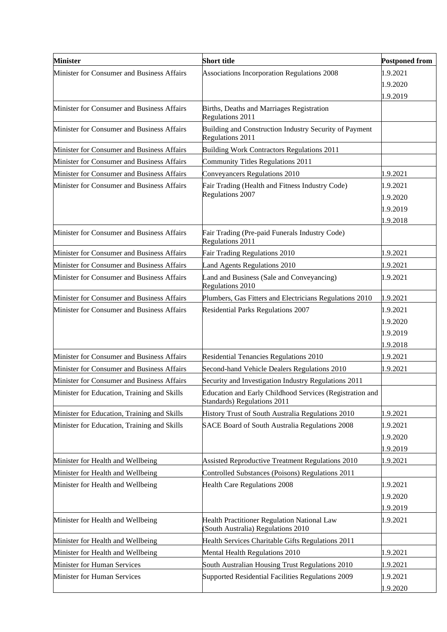| <b>Minister</b>                             | <b>Short title</b>                                                                      | <b>Postponed from</b> |
|---------------------------------------------|-----------------------------------------------------------------------------------------|-----------------------|
| Minister for Consumer and Business Affairs  | Associations Incorporation Regulations 2008                                             | 1.9.2021              |
|                                             |                                                                                         | 1.9.2020              |
|                                             |                                                                                         | 1.9.2019              |
| Minister for Consumer and Business Affairs  | Births, Deaths and Marriages Registration<br><b>Regulations 2011</b>                    |                       |
| Minister for Consumer and Business Affairs  | Building and Construction Industry Security of Payment<br>Regulations 2011              |                       |
| Minister for Consumer and Business Affairs  | <b>Building Work Contractors Regulations 2011</b>                                       |                       |
| Minister for Consumer and Business Affairs  | Community Titles Regulations 2011                                                       |                       |
| Minister for Consumer and Business Affairs  | Conveyancers Regulations 2010                                                           | 1.9.2021              |
| Minister for Consumer and Business Affairs  | Fair Trading (Health and Fitness Industry Code)                                         | 1.9.2021              |
|                                             | Regulations 2007                                                                        | 1.9.2020              |
|                                             |                                                                                         | 1.9.2019              |
|                                             |                                                                                         | 1.9.2018              |
| Minister for Consumer and Business Affairs  | Fair Trading (Pre-paid Funerals Industry Code)<br>Regulations 2011                      |                       |
| Minister for Consumer and Business Affairs  | Fair Trading Regulations 2010                                                           | 1.9.2021              |
| Minister for Consumer and Business Affairs  | Land Agents Regulations 2010                                                            | 1.9.2021              |
| Minister for Consumer and Business Affairs  | Land and Business (Sale and Conveyancing)<br>Regulations 2010                           | 1.9.2021              |
| Minister for Consumer and Business Affairs  | Plumbers, Gas Fitters and Electricians Regulations 2010                                 | 1.9.2021              |
| Minister for Consumer and Business Affairs  | <b>Residential Parks Regulations 2007</b>                                               | 1.9.2021              |
|                                             |                                                                                         | 1.9.2020              |
|                                             |                                                                                         | 1.9.2019              |
|                                             |                                                                                         | 1.9.2018              |
| Minister for Consumer and Business Affairs  | <b>Residential Tenancies Regulations 2010</b>                                           | 1.9.2021              |
| Minister for Consumer and Business Affairs  | Second-hand Vehicle Dealers Regulations 2010                                            | 1.9.2021              |
| Minister for Consumer and Business Affairs  | Security and Investigation Industry Regulations 2011                                    |                       |
| Minister for Education, Training and Skills | Education and Early Childhood Services (Registration and<br>Standards) Regulations 2011 |                       |
| Minister for Education, Training and Skills | History Trust of South Australia Regulations 2010                                       | 1.9.2021              |
| Minister for Education, Training and Skills | SACE Board of South Australia Regulations 2008                                          | 1.9.2021              |
|                                             |                                                                                         | 1.9.2020              |
|                                             |                                                                                         | 1.9.2019              |
| Minister for Health and Wellbeing           | Assisted Reproductive Treatment Regulations 2010                                        | 1.9.2021              |
| Minister for Health and Wellbeing           | Controlled Substances (Poisons) Regulations 2011                                        |                       |
| Minister for Health and Wellbeing           | <b>Health Care Regulations 2008</b>                                                     | 1.9.2021              |
|                                             |                                                                                         | 1.9.2020              |
|                                             |                                                                                         | 1.9.2019              |
| Minister for Health and Wellbeing           | Health Practitioner Regulation National Law<br>(South Australia) Regulations 2010       | 1.9.2021              |
| Minister for Health and Wellbeing           | Health Services Charitable Gifts Regulations 2011                                       |                       |
| Minister for Health and Wellbeing           | Mental Health Regulations 2010                                                          | 1.9.2021              |
| Minister for Human Services                 | South Australian Housing Trust Regulations 2010                                         | 1.9.2021              |
| Minister for Human Services                 | Supported Residential Facilities Regulations 2009                                       | 1.9.2021              |
|                                             |                                                                                         | 1.9.2020              |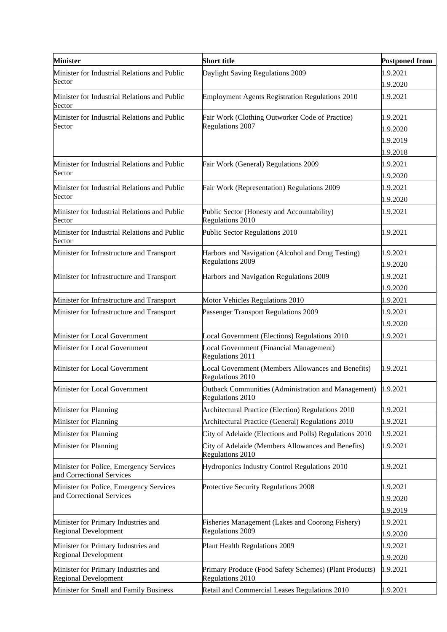| <b>Minister</b>                                                      | <b>Short title</b>                                                               | <b>Postponed from</b> |
|----------------------------------------------------------------------|----------------------------------------------------------------------------------|-----------------------|
| Minister for Industrial Relations and Public<br>Sector               | Daylight Saving Regulations 2009                                                 | 1.9.2021<br>1.9.2020  |
| Minister for Industrial Relations and Public<br>Sector               | <b>Employment Agents Registration Regulations 2010</b>                           | 1.9.2021              |
| Minister for Industrial Relations and Public                         | Fair Work (Clothing Outworker Code of Practice)                                  | 1.9.2021              |
| Sector                                                               | Regulations 2007                                                                 | 1.9.2020              |
|                                                                      |                                                                                  | 1.9.2019              |
|                                                                      |                                                                                  | 1.9.2018              |
| Minister for Industrial Relations and Public<br>Sector               | Fair Work (General) Regulations 2009                                             | 1.9.2021              |
|                                                                      |                                                                                  | 1.9.2020              |
| Minister for Industrial Relations and Public<br>Sector               | Fair Work (Representation) Regulations 2009                                      | 1.9.2021              |
|                                                                      |                                                                                  | 1.9.2020              |
| Minister for Industrial Relations and Public<br>Sector               | Public Sector (Honesty and Accountability)<br>Regulations 2010                   | 1.9.2021              |
| Minister for Industrial Relations and Public<br>Sector               | Public Sector Regulations 2010                                                   | 1.9.2021              |
| Minister for Infrastructure and Transport                            | Harbors and Navigation (Alcohol and Drug Testing)                                | 1.9.2021              |
|                                                                      | <b>Regulations 2009</b>                                                          | 1.9.2020              |
| Minister for Infrastructure and Transport                            | Harbors and Navigation Regulations 2009                                          | 1.9.2021              |
|                                                                      |                                                                                  | 1.9.2020              |
| Minister for Infrastructure and Transport                            | Motor Vehicles Regulations 2010                                                  | 1.9.2021              |
| Minister for Infrastructure and Transport                            | Passenger Transport Regulations 2009                                             | 1.9.2021              |
|                                                                      |                                                                                  | 1.9.2020              |
| Minister for Local Government                                        | Local Government (Elections) Regulations 2010                                    | 1.9.2021              |
| Minister for Local Government                                        | Local Government (Financial Management)<br>Regulations 2011                      |                       |
| Minister for Local Government                                        | Local Government (Members Allowances and Benefits)<br>Regulations 2010           | 1.9.2021              |
| Minister for Local Government                                        | Outback Communities (Administration and Management) 1.9.2021<br>Regulations 2010 |                       |
| Minister for Planning                                                | Architectural Practice (Election) Regulations 2010                               | 1.9.2021              |
| Minister for Planning                                                | Architectural Practice (General) Regulations 2010                                | 1.9.2021              |
| Minister for Planning                                                | City of Adelaide (Elections and Polls) Regulations 2010                          | 1.9.2021              |
| Minister for Planning                                                | City of Adelaide (Members Allowances and Benefits)<br>Regulations 2010           | 1.9.2021              |
| Minister for Police, Emergency Services<br>and Correctional Services | Hydroponics Industry Control Regulations 2010                                    | 1.9.2021              |
| Minister for Police, Emergency Services                              | Protective Security Regulations 2008                                             | 1.9.2021              |
| and Correctional Services                                            |                                                                                  | 1.9.2020              |
|                                                                      |                                                                                  | 1.9.2019              |
| Minister for Primary Industries and                                  | Fisheries Management (Lakes and Coorong Fishery)                                 | 1.9.2021              |
| <b>Regional Development</b>                                          | <b>Regulations 2009</b>                                                          | 1.9.2020              |
| Minister for Primary Industries and                                  | Plant Health Regulations 2009                                                    | 1.9.2021              |
| Regional Development                                                 |                                                                                  | 1.9.2020              |
| Minister for Primary Industries and<br>Regional Development          | Primary Produce (Food Safety Schemes) (Plant Products)<br>Regulations 2010       | 1.9.2021              |
| Minister for Small and Family Business                               | Retail and Commercial Leases Regulations 2010                                    | 1.9.2021              |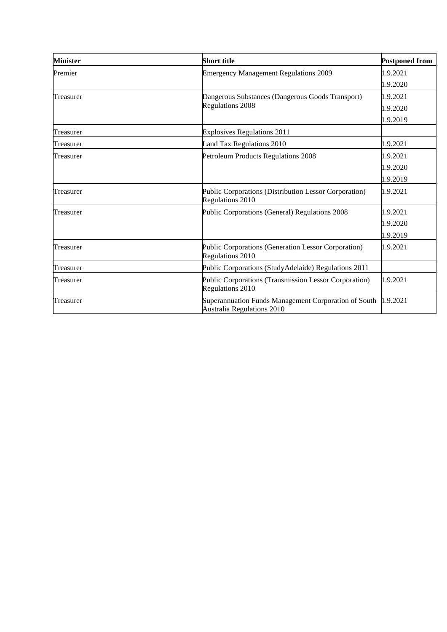| <b>Minister</b> | Short title                                                                               | <b>Postponed from</b> |
|-----------------|-------------------------------------------------------------------------------------------|-----------------------|
| Premier         | <b>Emergency Management Regulations 2009</b>                                              | 1.9.2021              |
|                 |                                                                                           | 1.9.2020              |
| Treasurer       | Dangerous Substances (Dangerous Goods Transport)                                          | 1.9.2021              |
|                 | <b>Regulations 2008</b>                                                                   | 1.9.2020              |
|                 |                                                                                           | 1.9.2019              |
| Treasurer       | <b>Explosives Regulations 2011</b>                                                        |                       |
| Treasurer       | Land Tax Regulations 2010                                                                 | 1.9.2021              |
| Treasurer       | Petroleum Products Regulations 2008                                                       | 1.9.2021              |
|                 |                                                                                           | 1.9.2020              |
|                 |                                                                                           | 1.9.2019              |
| Treasurer       | Public Corporations (Distribution Lessor Corporation)<br>Regulations 2010                 | 1.9.2021              |
| Treasurer       | Public Corporations (General) Regulations 2008                                            | 1.9.2021              |
|                 |                                                                                           | 1.9.2020              |
|                 |                                                                                           | 1.9.2019              |
| Treasurer       | Public Corporations (Generation Lessor Corporation)<br>Regulations 2010                   | 1.9.2021              |
| Treasurer       | Public Corporations (StudyAdelaide) Regulations 2011                                      |                       |
| Treasurer       | Public Corporations (Transmission Lessor Corporation)<br>Regulations 2010                 | 1.9.2021              |
| Treasurer       | Superannuation Funds Management Corporation of South<br><b>Australia Regulations 2010</b> | 1.9.2021              |